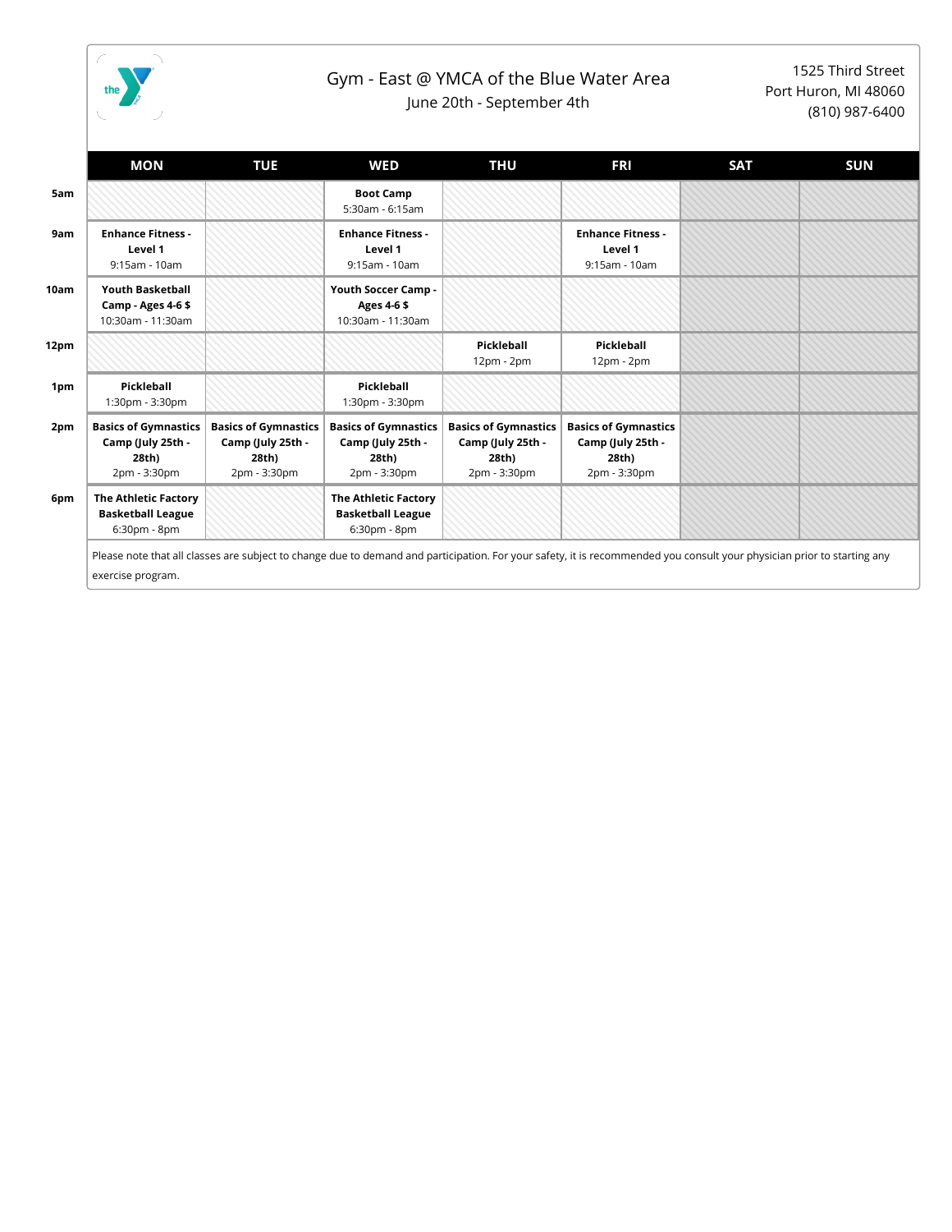

## Gym - East @ YMCA of the Blue Water Area

June 20th - September 4th

1525 Third Street Port Huron, MI 48060 (810) 987-6400

|      | <b>MON</b>                                                                | <b>TUE</b>                                                                | <b>WED</b>                                                                | THU                                                                       | <b>FRI</b>                                                                                                                                                              | <b>SAT</b> | <b>SUN</b> |
|------|---------------------------------------------------------------------------|---------------------------------------------------------------------------|---------------------------------------------------------------------------|---------------------------------------------------------------------------|-------------------------------------------------------------------------------------------------------------------------------------------------------------------------|------------|------------|
| 5am  |                                                                           |                                                                           | <b>Boot Camp</b><br>5:30am - 6:15am                                       |                                                                           |                                                                                                                                                                         |            |            |
| 9am  | <b>Enhance Fitness -</b><br>Level 1<br>9:15am - 10am                      |                                                                           | <b>Enhance Fitness -</b><br>Level 1<br>9:15am - 10am                      |                                                                           | <b>Enhance Fitness -</b><br>Level 1<br>9:15am - 10am                                                                                                                    |            |            |
| 10am | <b>Youth Basketball</b><br>Camp - Ages 4-6\$<br>10:30am - 11:30am         |                                                                           | Youth Soccer Camp -<br>Ages 4-6\$<br>10:30am - 11:30am                    |                                                                           |                                                                                                                                                                         |            |            |
| 12pm |                                                                           |                                                                           |                                                                           | Pickleball<br>$12pm - 2pm$                                                | Pickleball<br>12pm - 2pm                                                                                                                                                |            |            |
| 1pm  | Pickleball<br>1:30pm - 3:30pm                                             |                                                                           | Pickleball<br>1:30pm - 3:30pm                                             |                                                                           |                                                                                                                                                                         |            |            |
| 2pm  | <b>Basics of Gymnastics</b><br>Camp (July 25th -<br>28th)<br>2pm - 3:30pm | <b>Basics of Gymnastics</b><br>Camp (July 25th -<br>28th)<br>2pm - 3:30pm | <b>Basics of Gymnastics</b><br>Camp (July 25th -<br>28th)<br>2pm - 3:30pm | <b>Basics of Gymnastics</b><br>Camp (July 25th -<br>28th)<br>2pm - 3:30pm | <b>Basics of Gymnastics</b><br>Camp (July 25th -<br>28th)<br>2pm - 3:30pm                                                                                               |            |            |
| 6pm  | <b>The Athletic Factory</b><br><b>Basketball League</b><br>6:30pm - 8pm   |                                                                           | <b>The Athletic Factory</b><br><b>Basketball League</b><br>6:30pm - 8pm   |                                                                           |                                                                                                                                                                         |            |            |
|      | exercise program.                                                         |                                                                           |                                                                           |                                                                           | Please note that all classes are subject to change due to demand and participation. For your safety, it is recommended you consult your physician prior to starting any |            |            |